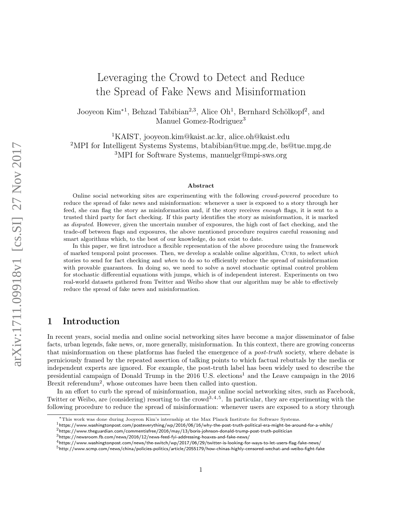# Leveraging the Crowd to Detect and Reduce the Spread of Fake News and Misinformation

Jooyeon Kim<sup>\*1</sup>, Behzad Tabibian<sup>2,3</sup>, Alice Oh<sup>1</sup>, Bernhard Schölkopf<sup>2</sup>, and Manuel Gomez-Rodriguez<sup>3</sup>

<sup>1</sup>KAIST, jooyeon.kim@kaist.ac.kr, alice.oh@kaist.edu <sup>2</sup>MPI for Intelligent Systems Systems, btabibian@tue.mpg.de, bs@tue.mpg.de <sup>3</sup>MPI for Software Systems, manuelgr@mpi-sws.org

#### Abstract

Online social networking sites are experimenting with the following crowd-powered procedure to reduce the spread of fake news and misinformation: whenever a user is exposed to a story through her feed, she can flag the story as misinformation and, if the story receives enough flags, it is sent to a trusted third party for fact checking. If this party identifies the story as misinformation, it is marked as disputed. However, given the uncertain number of exposures, the high cost of fact checking, and the trade-off between flags and exposures, the above mentioned procedure requires careful reasoning and smart algorithms which, to the best of our knowledge, do not exist to date.

In this paper, we first introduce a flexible representation of the above procedure using the framework of marked temporal point processes. Then, we develop a scalable online algorithm, CURB, to select which stories to send for fact checking and when to do so to efficiently reduce the spread of misinformation with provable guarantees. In doing so, we need to solve a novel stochastic optimal control problem for stochastic differential equations with jumps, which is of independent interest. Experiments on two real-world datasets gathered from Twitter and Weibo show that our algorithm may be able to effectively reduce the spread of fake news and misinformation.

# 1 Introduction

In recent years, social media and online social networking sites have become a major disseminator of false facts, urban legends, fake news, or, more generally, misinformation. In this context, there are growing concerns that misinformation on these platforms has fueled the emergence of a post-truth society, where debate is perniciously framed by the repeated assertion of talking points to which factual rebuttals by the media or independent experts are ignored. For example, the post-truth label has been widely used to describe the presidential campaign of Donald Trump in the 2016 U.S. elections<sup>1</sup> and the Leave campaign in the 2016 Brexit referendum<sup>2</sup>, whose outcomes have been then called into question.

In an effort to curb the spread of misinformation, major online social networking sites, such as Facebook, Twitter or Weibo, are (considering) resorting to the crowd3,4,5. In particular, they are experimenting with the following procedure to reduce the spread of misinformation: whenever users are exposed to a story through

 $^{2}$ https://www.theguardian.com/commentisfree/2016/may/13/boris-johnson-donald-trump-post-truth-politician

<sup>∗</sup>This work was done during Jooyeon Kim's internship at the Max Planck Institute for Software Systems.

<sup>1</sup>https://www.washingtonpost.com/posteverything/wp/2016/06/16/why-the-post-truth-political-era-might-be-around-for-a-while/

 $3$ https://newsroom.fb.com/news/2016/12/news-feed-fyi-addressing-hoaxes-and-fake-news/

 $^4$ https://www.washingtonpost.com/news/the-switch/wp/2017/06/29/twitter-is-looking-for-ways-to-let-users-flag-fake-news/

<sup>5</sup>http://www.scmp.com/news/china/policies-politics/article/2055179/how-chinas-highly-censored-wechat-and-weibo-fight-fake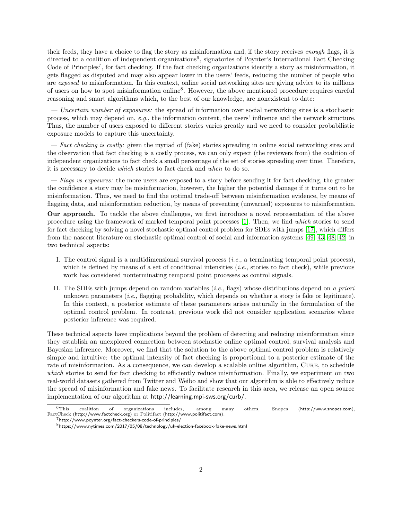their feeds, they have a choice to flag the story as misinformation and, if the story receives enough flags, it is directed to a coalition of independent organizations<sup>6</sup>, signatories of Poynter's International Fact Checking Code of Principles<sup>7</sup>, for fact checking. If the fact checking organizations identify a story as misinformation, it gets flagged as disputed and may also appear lower in the users' feeds, reducing the number of people who are exposed to misinformation. In this context, online social networking sites are giving advice to its millions of users on how to spot misinformation online<sup>8</sup>. However, the above mentioned procedure requires careful reasoning and smart algorithms which, to the best of our knowledge, are nonexistent to date:

Uncertain number of exposures: the spread of information over social networking sites is a stochastic process, which may depend on, e.g., the information content, the users' influence and the network structure. Thus, the number of users exposed to different stories varies greatly and we need to consider probabilistic exposure models to capture this uncertainty.

— Fact checking is costly: given the myriad of (fake) stories spreading in online social networking sites and the observation that fact checking is a costly process, we can only expect (the reviewers from) the coalition of independent organizations to fact check a small percentage of the set of stories spreading over time. Therefore, it is necessary to decide which stories to fact check and when to do so.

— Flags vs exposures: the more users are exposed to a story before sending it for fact checking, the greater the confidence a story may be misinformation, however, the higher the potential damage if it turns out to be misinformation. Thus, we need to find the optimal trade-off between misinformation evidence, by means of flagging data, and misinformation reduction, by means of preventing (unwarned) exposures to misinformation.

Our approach. To tackle the above challenges, we first introduce a novel representation of the above procedure using the framework of marked temporal point processes [\[1\]](#page-12-0). Then, we find which stories to send for fact checking by solving a novel stochastic optimal control problem for SDEs with jumps [\[17\]](#page-12-1), which differs from the nascent literature on stochastic optimal control of social and information systems [\[49,](#page-14-0) [43,](#page-14-1) [48,](#page-14-2) [42\]](#page-14-3) in two technical aspects:

- I. The control signal is a multidimensional survival process  $(i.e., a terminating temporal point process)$ , which is defined by means of a set of conditional intensities  $(i.e.,$  stories to fact check), while previous work has considered nonterminating temporal point processes as control signals.
- II. The SDEs with jumps depend on random variables  $(i.e., flags)$  whose distributions depend on a priori unknown parameters *(i.e., flagging probability, which depends on whether a story is fake or legitimate)*. In this context, a posterior estimate of these parameters arises naturally in the formulation of the optimal control problem. In contrast, previous work did not consider application scenarios where posterior inference was required.

These technical aspects have implications beyond the problem of detecting and reducing misinformation since they establish an unexplored connection between stochastic online optimal control, survival analysis and Bayesian inference. Moreover, we find that the solution to the above optimal control problem is relatively simple and intuitive: the optimal intensity of fact checking is proportional to a posterior estimate of the rate of misinformation. As a consequence, we can develop a scalable online algorithm, CURB, to schedule which stories to send for fact checking to efficiently reduce misinformation. Finally, we experiment on two real-world datasets gathered from Twitter and Weibo and show that our algorithm is able to effectively reduce the spread of misinformation and fake news. To facilitate research in this area, we release an open source implementation of our algorithm at http://learning.mpi-sws.org/curb/.

 $6$ This coalition of organizations includes, among many others, Snopes (http://www.snopes.com). FactCheck (http://www.factcheck.org) or Politifact (http://www.politifact.com).

 $7$ http://www.poynter.org/fact-checkers-code-of-principles/

 $8$ https://www.nytimes.com/2017/05/08/technology/uk-election-facebook-fake-news.html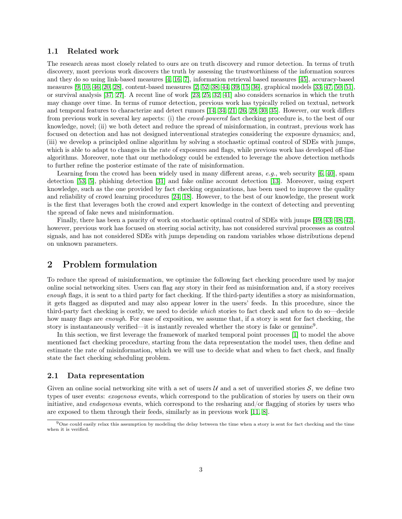#### 1.1 Related work

The research areas most closely related to ours are on truth discovery and rumor detection. In terms of truth discovery, most previous work discovers the truth by assessing the trustworthiness of the information sources and they do so using link-based measures [\[4,](#page-12-2) [16,](#page-12-3) [7\]](#page-12-4), information retrieval based measures [\[45\]](#page-14-4), accuracy-based measures [\[9,](#page-12-5) [10,](#page-12-6) [46,](#page-14-5) [20,](#page-12-7) [28\]](#page-13-0), content-based measures [\[2,](#page-12-8) [52,](#page-14-6) [38,](#page-13-1) [44,](#page-14-7) [39,](#page-13-2) [15,](#page-12-9) [36\]](#page-13-3), graphical models [\[33,](#page-13-4) [47,](#page-14-8) [50,](#page-14-9) [51\]](#page-14-10), or survival analysis [\[37,](#page-13-5) [27\]](#page-13-6). A recent line of work [\[23,](#page-13-7) [25,](#page-13-8) [32,](#page-13-9) [41\]](#page-13-10) also considers scenarios in which the truth may change over time. In terms of rumor detection, previous work has typically relied on textual, network and temporal features to characterize and detect rumors [\[14,](#page-12-10) [34,](#page-13-11) [21,](#page-12-11) [26,](#page-13-12) [29,](#page-13-13) [30,](#page-13-14) [35\]](#page-13-15). However, our work differs from previous work in several key aspects: (i) the crowd-powered fact checking procedure is, to the best of our knowledge, novel; (ii) we both detect and reduce the spread of misinformation, in contrast, previous work has focused on detection and has not designed interventional strategies considering the exposure dynamics; and, (iii) we develop a principled online algorithm by solving a stochastic optimal control of SDEs with jumps, which is able to adapt to changes in the rate of exposures and flags, while previous work has developed off-line algorithms. Moreover, note that our methodology could be extended to leverage the above detection methods to further refine the posterior estimate of the rate of misinformation.

Learning from the crowd has been widely used in many different areas,  $e.g.,$  web security  $[6, 40]$  $[6, 40]$  $[6, 40]$ , spam detection [\[53,](#page-14-11) [5\]](#page-12-13), phishing detection [\[31\]](#page-13-17) and fake online account detection [\[13\]](#page-12-14). Moreover, using expert knowledge, such as the one provided by fact checking organizations, has been used to improve the quality and reliability of crowd learning procedures [\[24,](#page-13-18) [18\]](#page-12-15). However, to the best of our knowledge, the present work is the first that leverages both the crowd and expert knowledge in the context of detecting and preventing the spread of fake news and misinformation.

Finally, there has been a paucity of work on stochastic optimal control of SDEs with jumps [\[49,](#page-14-0) [43,](#page-14-1) [48,](#page-14-2) [42\]](#page-14-3), however, previous work has focused on steering social activity, has not considered survival processes as control signals, and has not considered SDEs with jumps depending on random variables whose distributions depend on unknown parameters.

## 2 Problem formulation

To reduce the spread of misinformation, we optimize the following fact checking procedure used by major online social networking sites. Users can flag any story in their feed as misinformation and, if a story receives enough flags, it is sent to a third party for fact checking. If the third-party identifies a story as misinformation, it gets flagged as disputed and may also appear lower in the users' feeds. In this procedure, since the third-party fact checking is costly, we need to decide which stories to fact check and when to do so—decide how many flags are *enough*. For ease of exposition, we assume that, if a story is sent for fact checking, the story is instantaneously verified—it is instantly revealed whether the story is fake or genuine<sup>9</sup>.

In this section, we first leverage the framework of marked temporal point processes [\[1\]](#page-12-0) to model the above mentioned fact checking procedure, starting from the data representation the model uses, then define and estimate the rate of misinformation, which we will use to decide what and when to fact check, and finally state the fact checking scheduling problem.

#### 2.1 Data representation

Given an online social networking site with a set of users  $U$  and a set of unverified stories  $S$ , we define two types of user events: exogenous events, which correspond to the publication of stories by users on their own initiative, and endogenous events, which correspond to the resharing and/or flagging of stories by users who are exposed to them through their feeds, similarly as in previous work [\[11,](#page-12-16) [8\]](#page-12-17).

 $9$ One could easily relax this assumption by modeling the delay between the time when a story is sent for fact checking and the time when it is verified.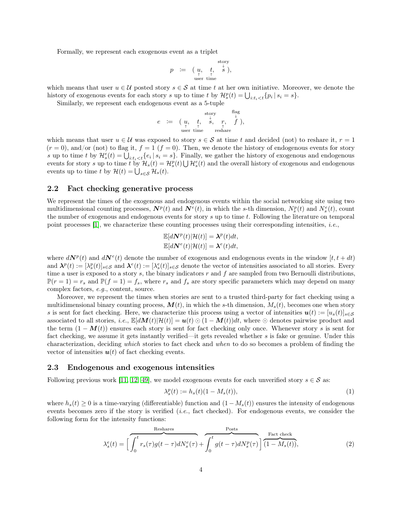Formally, we represent each exogenous event as a triplet

$$
p \ \coloneqq \ \big(\underset{\underset{\text{user time}}{\uparrow}}{u}, \ \underset{\underset{\text{ther}}{\uparrow}}{\overset{\text{story}}{t}}, \ \underset{\text{s}}{\overset{\downarrow}{\downarrow}}\big),
$$

which means that user  $u \in \mathcal{U}$  posted story  $s \in \mathcal{S}$  at time t at her own initiative. Moreover, we denote the history of exogenous events for each story s up to time t by  $\mathcal{H}_s^p(t) = \bigcup_{i:t_i \lt t} \{p_i \mid s_i = s\}.$ 

Similarly, we represent each endogenous event as a 5-tuple

$$
e\ \coloneqq\ \big(\underset{\substack{u,\\ \text{user time}\\ \text{user time}}} \ \underset{\substack{t,\\ \text{rhs}}}{\overset{\text{story}}{\underset{v}{\bigstar}}} \ \underset{\substack{f,\\ \text{rhs}}}{\overset{\text{flag}}{\underset{v}{\bigstar}}} \ \underset{\substack{f,\\ \text{rhs}}}{\overset{\text{flag}}{\bigstar}}},
$$

which means that user  $u \in \mathcal{U}$  was exposed to story  $s \in \mathcal{S}$  at time t and decided (not) to reshare it,  $r = 1$  $(r = 0)$ , and/or (not) to flag it,  $f = 1$  ( $f = 0$ ). Then, we denote the history of endogenous events for story s up to time t by  $\mathcal{H}_s^e(t) = \bigcup_{i:t_i < t} \{e_i \mid s_i = s\}$ . Finally, we gather the history of exogenous and endogenous events for story s up to time t by  $\mathcal{H}_s(t) = \mathcal{H}_s^p(t) \bigcup \mathcal{H}_s^e(t)$  and the overall history of exogenous and endogenous events up to time t by  $\mathcal{H}(t) = \bigcup_{s \in \mathcal{S}} \mathcal{H}_s(t)$ .

#### 2.2 Fact checking generative process

We represent the times of the exogenous and endogenous events within the social networking site using two multidimensional counting processes,  $\mathbf{N}^p(t)$  and  $\mathbf{N}^e(t)$ , in which the s-th dimension,  $N_s^p(t)$  and  $N_s^e(t)$ , count the number of exogenous and endogenous events for story  $s$  up to time  $t$ . Following the literature on temporal point processes  $[1]$ , we characterize these counting processes using their corresponding intensities, *i.e.*,

$$
\mathbb{E}[d\mathbf{N}^{p}(t)|\mathcal{H}(t)] = \mathbf{\lambda}^{p}(t)dt,
$$
  

$$
\mathbb{E}[d\mathbf{N}^{e}(t)|\mathcal{H}(t)] = \mathbf{\lambda}^{e}(t)dt,
$$

where  $dN^p(t)$  and  $dN^e(t)$  denote the number of exogenous and endogenous events in the window  $[t, t+dt)$ and  $\mathbf{\lambda}^p(t) := [\lambda_s^p(t)]_{s \in \mathcal{S}}$  and  $\mathbf{\lambda}^e(t) := [\lambda_s^e(t)]_{s \in \mathcal{S}}$  denote the vector of intensities associated to all stories. Every time a user is exposed to a story  $s$ , the binary indicators  $r$  and  $f$  are sampled from two Bernoulli distributions,  $\mathbb{P}(r=1)=r_s$  and  $\mathbb{P}(f=1)=f_s$ , where  $r_s$  and  $f_s$  are story specific parameters which may depend on many complex factors, e.g., content, source.

Moreover, we represent the times when stories are sent to a trusted third-party for fact checking using a multidimensional binary counting process,  $\mathbf{M}(t)$ , in which the s-th dimension,  $M_s(t)$ , becomes one when story s is sent for fact checking. Here, we characterize this process using a vector of intensities  $u(t) := [u_s(t)]_{s \in S}$ associated to all stories, i.e.,  $\mathbb{E}[dM(t)|\mathcal{H}(t)] = u(t) \odot (1 - M(t))dt$ , where  $\odot$  denotes pairwise product and the term  $(1 - M(t))$  ensures each story is sent for fact checking only once. Whenever story s is sent for fact checking, we assume it gets instantly verified—it gets revealed whether s is fake or genuine. Under this characterization, deciding which stories to fact check and when to do so becomes a problem of finding the vector of intensities  $u(t)$  of fact checking events.

#### 2.3 Endogenous and exogenous intensities

Following previous work [\[11,](#page-12-16) [12,](#page-12-18) [49\]](#page-14-0), we model exogenous events for each unverified story  $s \in \mathcal{S}$  as:

<span id="page-3-0"></span>
$$
\lambda_s^p(t) := h_s(t)(1 - M_s(t)),\tag{1}
$$

where  $h_s(t) \geq 0$  is a time-varying (differentiable) function and  $(1 - M_s(t))$  ensures the intensity of endogenous events becomes zero if the story is verified (i.e., fact checked). For endogenous events, we consider the following form for the intensity functions:

Respares  
\n
$$
\lambda_s^e(t) = \left[ \int_0^t r_s(\tau) g(t-\tau) dN_s^e(\tau) + \int_0^t g(t-\tau) dN_s^p(\tau) \right] \overbrace{(1-M_s(t))}^{\text{Fact check}},
$$
\n(2)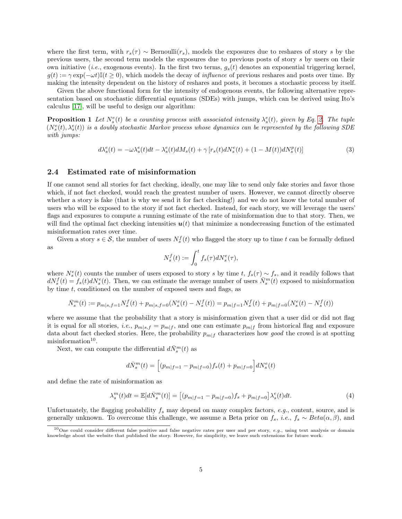where the first term, with  $r_s(\tau) \sim \text{Bernoulli}(r_s)$ , models the exposures due to reshares of story s by the previous users, the second term models the exposures due to previous posts of story s by users on their own initiative (*i.e.*, exogenous events). In the first two terms,  $g_s(t)$  denotes an exponential triggering kernel,  $g(t) := \gamma \exp(-\omega t)\mathbb{I}(t \geq 0)$ , which models the decay of *influence* of previous reshares and posts over time. By making the intensity dependent on the history of reshares and posts, it becomes a stochastic process by itself.

Given the above functional form for the intensity of endogenous events, the following alternative representation based on stochastic differential equations (SDEs) with jumps, which can be derived using Ito's calculus [\[17\]](#page-12-1), will be useful to design our algorithm:

**Proposition 1** Let  $N_s^e(t)$  be a counting process with associated intensity  $\lambda_s^e(t)$ , given by Eq. [2.](#page-3-0) The tuple  $(N_s^e(t), \lambda_s^e(t))$  is a doubly stochastic Markov process whose dynamics can be represented by the following SDE with *jumps*:

$$
d\lambda_s^e(t) = -\omega \lambda_s^e(t)dt - \lambda_s^e(t)dM_s(t) + \gamma \left[r_s(t)dN_s^e(t) + (1 - M(t))dN_s^p(t)\right]
$$
\n(3)

#### 2.4 Estimated rate of misinformation

If one cannot send all stories for fact checking, ideally, one may like to send only fake stories and favor those which, if not fact checked, would reach the greatest number of users. However, we cannot directly observe whether a story is fake (that is why we send it for fact checking!) and we do not know the total number of users who will be exposed to the story if not fact checked. Instead, for each story, we will leverage the users' flags and exposures to compute a running estimate of the rate of misinformation due to that story. Then, we will find the optimal fact checking intensities  $u(t)$  that minimize a nondecreasing function of the estimated misinformation rates over time.

Given a story  $s \in \mathcal{S}$ , the number of users  $N_s^f(t)$  who flagged the story up to time t can be formally defined as

<span id="page-4-0"></span>
$$
N_s^f(t):=\int_0^t f_s(\tau)dN_s^e(\tau),
$$

where  $N_s^e(t)$  counts the number of users exposed to story s by time t,  $f_s(\tau) \sim f_s$ , and it readily follows that  $dN_s^f(t) = f_s(t)dN_s^e(t)$ . Then, we can estimate the average number of users  $\bar{N}_s^m(t)$  exposed to misinformation by time  $t$ , conditioned on the number of exposed users and flags, as

$$
\bar{N}_s^m(t) := p_{m|s,f=1} N_s^f(t) + p_{m|s,f=0} (N_s^e(t) - N_s^f(t)) = p_{m|f=1} N_s^f(t) + p_{m|f=0} (N_s^e(t) - N_s^f(t))
$$

where we assume that the probability that a story is misinformation given that a user did or did not flag it is equal for all stories, *i.e.*,  $p_{m|s,f} = p_{m|f}$ , and one can estimate  $p_{m|f}$  from historical flag and exposure data about fact checked stories. Here, the probability  $p_{m|f}$  characterizes how good the crowd is at spotting misinformation<sup>10</sup>.

Next, we can compute the differential  $d\bar{N}_{s}^{m}(t)$  as

$$
d\bar{N}_s^m(t) = \left[ (p_{m|f=1} - p_{m|f=0}) f_s(t) + p_{m|f=0} \right] dN_s^e(t)
$$

and define the rate of misinformation as

$$
\lambda_s^m(t)dt = \mathbb{E}[d\bar{N}_s^m(t)] = \left[ (p_{m|f=1} - p_{m|f=0})f_s + p_{m|f=0} \right] \lambda_s^e(t)dt.
$$
 (4)

Unfortunately, the flagging probability  $f_s$  may depend on many complex factors, e.g., content, source, and is generally unknown. To overcome this challenge, we assume a Beta prior on  $f_s$ , *i.e.*,  $f_s \sim Beta(\alpha, \beta)$ , and

 $10$ One could consider different false positive and false negative rates per user and per story, e.g., using text analysis or domain knowledge about the website that published the story. However, for simplicity, we leave such extensions for future work.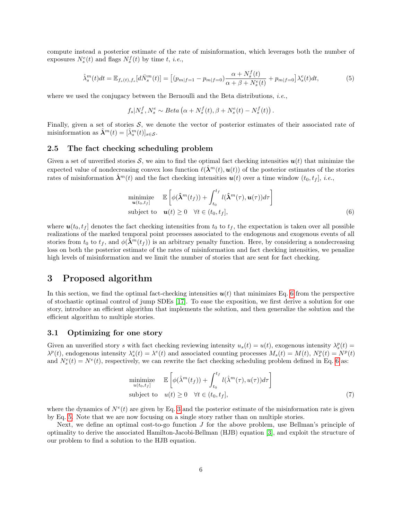compute instead a posterior estimate of the rate of misinformation, which leverages both the number of exposures  $N_s^e(t)$  and flags  $N_s^f(t)$  by time t, i.e.,

$$
\hat{\lambda}_s^m(t)dt = \mathbb{E}_{f_s(t),f_s}[d\bar{N}_s^m(t)] = \left[ (p_{m|f=1} - p_{m|f=0}) \frac{\alpha + N_s^f(t)}{\alpha + \beta + N_s^e(t)} + p_{m|f=0} \right] \lambda_s^e(t)dt,\tag{5}
$$

where we used the conjugacy between the Bernoulli and the Beta distributions, *i.e.*,

<span id="page-5-1"></span>
$$
f_s|N_s^f, N_s^e \sim Beta\left(\alpha + N_s^f(t), \beta + N_s^e(t) - N_s^f(t)\right).
$$

Finally, given a set of stories  $S$ , we denote the vector of posterior estimates of their associated rate of misinformation as  $\hat{\lambda}^m(t) = [\hat{\lambda}_s^m(t)]_{s \in \mathcal{S}}$ .

#### 2.5 The fact checking scheduling problem

Given a set of unverified stories S, we aim to find the optimal fact checking intensities  $u(t)$  that minimize the expected value of nondecreasing convex loss function  $\ell(\hat{\lambda}^m(t),u(t))$  of the posterior estimates of the stories rates of misinformation  $\hat{\lambda}^m(t)$  and the fact checking intensities  $u(t)$  over a time window  $(t_0, t_f]$ , *i.e.*,

<span id="page-5-0"></span>
$$
\begin{array}{ll}\n\text{minimize} & \mathbb{E}\left[\phi(\hat{\boldsymbol{\lambda}}^m(t_f)) + \int_{t_0}^{t_f} l(\hat{\boldsymbol{\lambda}}^m(\tau), \boldsymbol{u}(\tau)) d\tau\right] \\
\text{subject to} & \boldsymbol{u}(t) \ge 0 \quad \forall t \in (t_0, t_f],\n\end{array} \tag{6}
$$

where  $u(t_0, t_f]$  denotes the fact checking intensities from  $t_0$  to  $t_f$ , the expectation is taken over all possible realizations of the marked temporal point processes associated to the endogenous and exogenous events of all stories from  $t_0$  to  $t_f$ , and  $\phi(\tilde{\lambda}^m(t_f))$  is an arbitrary penalty function. Here, by considering a nondecreasing loss on both the posterior estimate of the rates of misinformation and fact checking intensities, we penalize high levels of misinformation and we limit the number of stories that are sent for fact checking.

## 3 Proposed algorithm

In this section, we find the optimal fact-checking intensities  $u(t)$  that minimizes Eq. [6](#page-5-0) from the perspective of stochastic optimal control of jump SDEs [\[17\]](#page-12-1). To ease the exposition, we first derive a solution for one story, introduce an efficient algorithm that implements the solution, and then generalize the solution and the efficient algorithm to multiple stories.

#### 3.1 Optimizing for one story

Given an unverified story s with fact checking reviewing intensity  $u_s(t) = u(t)$ , exogenous intensity  $\lambda_s^p(t) =$  $\lambda^p(t)$ , endogenous intensity  $\lambda_s^e(t) = \lambda^e(t)$  and associated counting processes  $M_s(t) = M(t)$ ,  $N_s^p(t) = N^p(t)$ and  $N_s^e(t) = N_e^e(t)$ , respectively, we can rewrite the fact checking scheduling problem defined in Eq. [6](#page-5-0) as:

<span id="page-5-2"></span>
$$
\begin{aligned}\n\text{minimize} & \quad \mathbb{E}\left[\phi(\hat{\lambda}^m(t_f)) + \int_{t_0}^{t_f} l(\hat{\lambda}^m(\tau), u(\tau))d\tau\right] \\
\text{subject to} & \quad u(t) \ge 0 \quad \forall t \in (t_0, t_f],\n\end{aligned} \tag{7}
$$

where the dynamics of  $N^e(t)$  are given by Eq. [3](#page-4-0) and the posterior estimate of the misinformation rate is given by Eq. [5.](#page-5-1) Note that we are now focusing on a single story rather than on multiple stories.

Next, we define an optimal cost-to-go function J for the above problem, use Bellman's principle of optimality to derive the associated Hamilton-Jacobi-Bellman (HJB) equation [\[3\]](#page-12-19), and exploit the structure of our problem to find a solution to the HJB equation.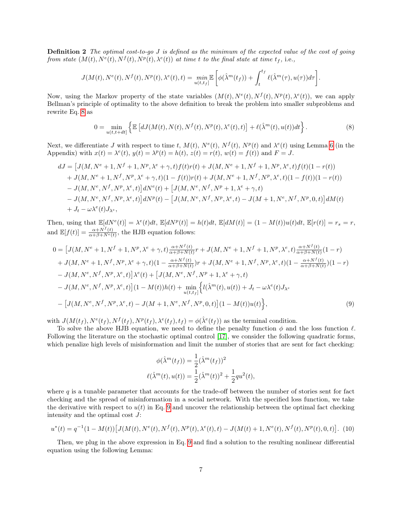**Definition 2** The optimal cost-to-go J is defined as the minimum of the expected value of the cost of going from state  $(M(t), N^e(t), N^f(t), N^p(t), \lambda^e(t))$  at time t to the final state at time  $t_f$ , i.e.,

$$
J(M(t), N^e(t), N^f(t), N^p(t), \lambda^e(t), t) = \min_{u(t,t_f]} \mathbb{E}\left[\phi(\hat{\lambda}^m(t_f)) + \int_t^{t_f} \ell(\hat{\lambda}^m(\tau), u(\tau))d\tau\right].
$$

Now, using the Markov property of the state variables  $(M(t), N^e(t), N^f(t), N^p(t), \lambda^e(t))$ , we can apply Bellman's principle of optimality to the above definition to break the problem into smaller subproblems and rewrite Eq. [8](#page-6-0) as

<span id="page-6-0"></span>
$$
0 = \min_{u(t, t+dt]} \left\{ \mathbb{E}\left[dJ(M(t), N(t), N^f(t), N^p(t), \lambda^e(t), t)\right] + \ell(\hat{\lambda}^m(t), u(t))dt \right\}.
$$
 (8)

Next, we differentiate J with respect to time t,  $M(t)$ ,  $N^{e}(t)$ ,  $N^{f}(t)$ ,  $N^{p}(t)$  and  $\lambda^{e}(t)$  using Lemma [6](#page-14-12) (in the Appendix) with  $x(t) = \lambda^e(t)$ ,  $y(t) = \lambda^p(t) = h(t)$ ,  $z(t) = r(t)$ ,  $w(t) = f(t)$  and  $F = J$ .

$$
dJ = [J(M, N^e + 1, N^f + 1, N^p, \lambda^e + \gamma, t) f(t) r(t) + J(M, N^e + 1, N^f + 1, N^p, \lambda^e, t) f(t) (1 - r(t))
$$
  
+  $J(M, N^e + 1, N^f, N^p, \lambda^e + \gamma, t) (1 - f(t)) r(t) + J(M, N^e + 1, N^f, N^p, \lambda^e, t) (1 - f(t)) (1 - r(t))$   
-  $J(M, N^e, N^f, N^p, \lambda^e, t) ] dN^e(t) + [J(M, N^e, N^f, N^p + 1, \lambda^e + \gamma, t)$   
-  $J(M, N^e, N^f, N^p, \lambda^e, t) ] dN^p(t) - [J(M, N^e, N^f, N^p, \lambda^e, t) - J(M + 1, N^e, N^f, N^p, 0, t) ] dM(t)$   
+  $J_t - \omega \lambda^e(t) J_{\lambda^e},$ 

Then, using that  $\mathbb{E}[dN^e(t)] = \lambda^e(t)dt$ ,  $\mathbb{E}[dN^p(t)] = h(t)dt$ ,  $\mathbb{E}[dM(t)] = (1 - M(t))u(t)dt$ ,  $\mathbb{E}[r(t)] = r_s = r$ , and  $\mathbb{E}[f(t)] = \frac{\alpha + N^f(t)}{\alpha + \beta + N^e(t)}$ , the HJB equation follows:

$$
0 = [J(M, N^{e} + 1, N^{f} + 1, N^{p}, \lambda^{e} + \gamma, t) \frac{\alpha + N^{f}(t)}{\alpha + \beta + N(t)} r + J(M, N^{e} + 1, N^{f} + 1, N^{p}, \lambda^{e}, t) \frac{\alpha + N^{f}(t)}{\alpha + \beta + N(t)} (1 - r) + J(M, N^{e} + 1, N^{f}, N^{p}, \lambda^{e} + \gamma, t) (1 - \frac{\alpha + N^{f}(t)}{\alpha + \beta + N(t)}) r + J(M, N^{e} + 1, N^{f}, N^{p}, \lambda^{e}, t) (1 - \frac{\alpha + N^{f}(t)}{\alpha + \beta + N(t)}) (1 - r) - J(M, N^{e}, N^{f}, N^{p}, \lambda^{e}, t) \lambda^{e}(t) + [J(M, N^{e}, N^{f}, N^{p} + 1, \lambda^{e} + \gamma, t) - J(M, N^{e}, N^{f}, N^{p}, \lambda^{e}, t)] (1 - M(t))h(t) + \min_{u(t, t_f]} \{ l(\hat{\lambda}^{m}(t), u(t)) + J_t - \omega \lambda^{e}(t) J_{\lambda^{e}} - [J(M, N^{e}, N^{f}, N^{p}, \lambda^{e}, t) - J(M + 1, N^{e}, N^{f}, N^{p}, 0, t)] (1 - M(t))u(t) \},
$$
\n(9)

with  $J(M(t_f), N^e(t_f), N^f(t_f), N^p(t_f), \lambda^e(t_f), t_f) = \phi(\hat{\lambda}^e(t_f))$  as the terminal condition.

To solve the above HJB equation, we need to define the penalty function  $\phi$  and the loss function  $\ell$ . Following the literature on the stochastic optimal control [\[17\]](#page-12-1), we consider the following quadratic forms, which penalize high levels of misinformation and limit the number of stories that are sent for fact checking:

<span id="page-6-1"></span>
$$
\phi(\hat{\lambda}^m(t_f)) = \frac{1}{2} (\hat{\lambda}^m(t_f))^2
$$
  

$$
\ell(\hat{\lambda}^m(t), u(t)) = \frac{1}{2} (\hat{\lambda}^m(t))^2 + \frac{1}{2} q u^2(t),
$$

where  $q$  is a tunable parameter that accounts for the trade-off between the number of stories sent for fact checking and the spread of misinformation in a social network. With the specified loss function, we take the derivative with respect to  $u(t)$  in Eq. [9](#page-6-1) and uncover the relationship between the optimal fact checking intensity and the optimal cost J:

$$
u^*(t) = q^{-1}(1 - M(t)) \left[ J(M(t), N^e(t), N^f(t), N^p(t), \lambda^e(t), t) - J(M(t) + 1, N^e(t), N^f(t), N^p(t), 0, t) \right].
$$
 (10)

Then, we plug in the above expression in Eq. [9](#page-6-1) and find a solution to the resulting nonlinear differential equation using the following Lemma: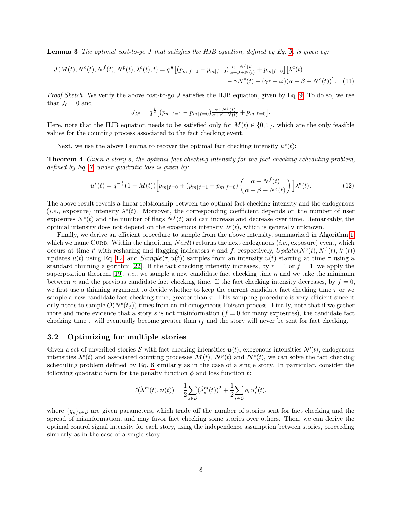**Lemma 3** The optimal cost-to-go J that satisfies the HJB equation, defined by Eq. [9,](#page-6-1) is given by:

$$
J(M(t), N^{e}(t), N^{f}(t), N^{p}(t), \lambda^{e}(t), t) = q^{\frac{1}{2}} \left[ (p_{m|f=1} - p_{m|f=0}) \frac{\alpha + N^{f}(t)}{\alpha + \beta + N(t)} + p_{m|f=0} \right] \left[ \lambda^{e}(t) - \gamma N^{p}(t) - (\gamma r - \omega)(\alpha + \beta + N^{e}(t)) \right].
$$
 (11)

*Proof Sketch.* We verify the above cost-to-go J satisfies the HJB equation, given by Eq. [9.](#page-6-1) To do so, we use that  $J_t = 0$  and

<span id="page-7-0"></span>
$$
J_{\lambda^{e}} = q^{\frac{1}{2}} \left[ (p_{m|f=1} - p_{m|f=0}) \frac{\alpha + N^{f}(t)}{\alpha + \beta + N(t)} + p_{m|f=0} \right].
$$

Here, note that the HJB equation needs to be satisfied only for  $M(t) \in \{0,1\}$ , which are the only feasible values for the counting process associated to the fact checking event.

Next, we use the above Lemma to recover the optimal fact checking intensity  $u^*(t)$ :

Theorem 4 Given a story s, the optimal fact checking intensity for the fact checking scheduling problem, defined by Eq. [7,](#page-5-2) under quadratic loss is given by:

$$
u^*(t) = q^{-\frac{1}{2}}(1 - M(t)) \Big[ p_{m|f=0} + (p_{m|f=1} - p_{m|f=0}) \left( \frac{\alpha + N^f(t)}{\alpha + \beta + N^e(t)} \right) \Big] \lambda^e(t). \tag{12}
$$

The above result reveals a linear relationship between the optimal fact checking intensity and the endogenous (*i.e.*, exposure) intensity  $\lambda^e(t)$ . Moreover, the corresponding coefficient depends on the number of user exposures  $N^{e}(t)$  and the number of flags  $N^{f}(t)$  and can increase and decrease over time. Remarkably, the optimal intensity does not depend on the exogenous intensity  $\lambda^p(t)$ , which is generally unknown.

Finally, we derive an efficient procedure to sample from the above intensity, summarized in Algorithm [1,](#page-8-0) which we name CURB. Within the algorithm,  $Next()$  returns the next endogenous (*i.e.*, exposure) event, which occurs at time t' with resharing and flagging indicators r and f, respectively,  $Update(N^e(t), N^f(t), \lambda^e(t))$ updates  $u(t)$  using Eq. [12,](#page-7-0) and  $Sample(\tau, u(t))$  samples from an intensity  $u(t)$  starting at time  $\tau$  using a standard thinning algorithm [\[22\]](#page-13-19). If the fact checking intensity increases, by  $r = 1$  or  $f = 1$ , we apply the superposition theorem [\[19\]](#page-12-20), *i.e.*, we sample a new candidate fact checking time  $\kappa$  and we take the minimum between  $\kappa$  and the previous candidate fact checking time. If the fact checking intensity decreases, by  $f = 0$ , we first use a thinning argument to decide whether to keep the current candidate fact checking time  $\tau$  or we sample a new candidate fact checking time, greater than  $\tau$ . This sampling procedure is very efficient since it only needs to sample  $O(N^e(t_f))$  times from an inhomogeneous Poisson process. Finally, note that if we gather more and more evidence that a story s is not misinformation  $(f = 0$  for many exposures), the candidate fact checking time  $\tau$  will eventually become greater than  $t_f$  and the story will never be sent for fact checking.

#### 3.2 Optimizing for multiple stories

Given a set of unverified stories S with fact checking intensities  $u(t)$ , exogenous intensities  $\lambda^p(t)$ , endogenous intensities  $\lambda^e(t)$  and associated counting processes  $M(t)$ ,  $N^p(t)$  and  $N^e(t)$ , we can solve the fact checking scheduling problem defined by Eq. [6](#page-5-0) similarly as in the case of a single story. In particular, consider the following quadratic form for the penalty function  $\phi$  and loss function  $\ell$ :

$$
\ell(\hat{\boldsymbol{\lambda}}^m(t),\boldsymbol{u}(t))=\frac{1}{2}\!\sum_{s\in\mathcal{S}}(\hat{\lambda}^m_s(t))^2+\frac{1}{2}\!\sum_{s\in\mathcal{S}}q_su_s^2(t),
$$

where  $\{q_s\}_{s\in\mathcal{S}}$  are given parameters, which trade off the number of stories sent for fact checking and the spread of misinformation, and may favor fact checking some stories over others. Then, we can derive the optimal control signal intensity for each story, using the independence assumption between stories, proceeding similarly as in the case of a single story.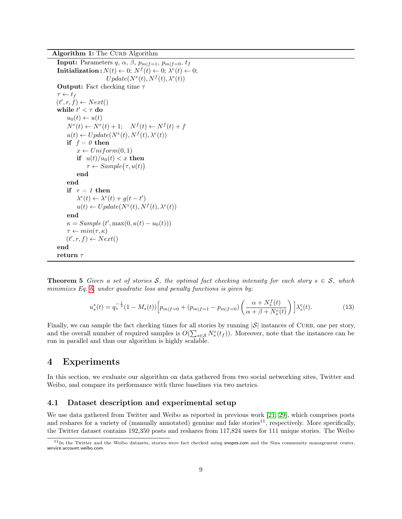Algorithm 1: The CURB Algorithm

```
Input: Parameters q, \alpha, \beta, p_{m|f=1}, p_{m|f=0}, t_fInitialization : N(t) \leftarrow 0; N^f(t) \leftarrow 0; \lambda^e(t) \leftarrow 0;Update(N^{e}(t), N^{f}(t), \lambda^{e}(t))Output: Fact checking time \tau\tau \leftarrow t_f(t', r, f) \leftarrow Next()while t' < \tau do
    u_0(t) \leftarrow u(t)N^{e}(t) \leftarrow N^{e}(t) + 1; \quad N^{f}(t) \leftarrow N^{f}(t) + fu(t) \leftarrow Update(N^e(t), N^f(t), \lambda^e(t))if f = 0 then
         x \leftarrow Uniform(0, 1)if u(t)/u_0(t) < x then
               \tau \leftarrow Sample(\tau, u(t))end
     end
     if r = 1 then
          \lambda^{e}(t) \leftarrow \lambda^{e}(t) + g(t - t')u(t) \leftarrow Update(N^{e}(t), N^{f}(t), \lambda^{e}(t))end
     \kappa = Sample(t', \max(0, u(t) - u_0(t)))\tau \leftarrow min(\tau, \kappa)(t', r, f) \leftarrow Next()end
return \tau
```
<span id="page-8-0"></span>**Theorem 5** Given a set of stories S, the optimal fact checking intensity for each story  $s \in S$ , which minimizes Eq. [6,](#page-5-0) under quadratic loss and penalty functions is given by:

$$
u_s^*(t) = q_s^{-\frac{1}{2}}(1 - M_s(t)) \left[ p_{m|f=0} + (p_{m|f=1} - p_{m|f=0}) \left( \frac{\alpha + N_s^f(t)}{\alpha + \beta + N_s^e(t)} \right) \right] \lambda_s^e(t). \tag{13}
$$

Finally, we can sample the fact checking times for all stories by running  $|S|$  instances of CURB, one per story, and the overall number of required samples is  $O(\sum_{s\in\mathcal{S}}N_s^e(t_f))$ . Moreover, note that the instances can be run in parallel and thus our algorithm is highly scalable.

## 4 Experiments

In this section, we evaluate our algorithm on data gathered from two social networking sites, Twitter and Weibo, and compare its performance with three baselines via two metrics.

#### 4.1 Dataset description and experimental setup

We use data gathered from Twitter and Weibo as reported in previous work [\[21,](#page-12-11) [29\]](#page-13-13), which comprises posts and reshares for a variety of (manually annotated) genuine and fake stories<sup>11</sup>, respectively. More specifically, the Twitter dataset contains 192,350 posts and reshares from 117,824 users for 111 unique stories. The Weibo

 $11$ In the Twitter and the Weibo datasets, stories were fact checked using snopes.com and the Sina community management center, service.account.weibo.com.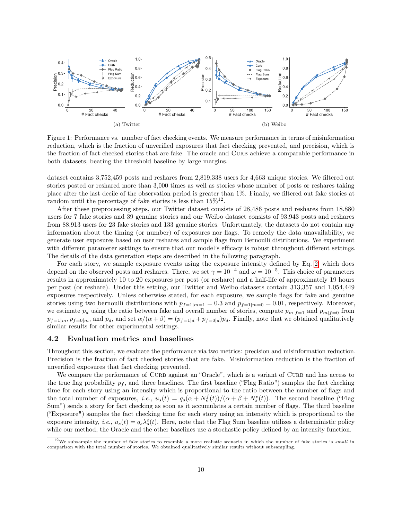<span id="page-9-0"></span>

Figure 1: Performance vs. number of fact checking events. We measure performance in terms of misinformation reduction, which is the fraction of unverified exposures that fact checking prevented, and precision, which is the fraction of fact checked stories that are fake. The oracle and CURB achieve a comparable performance in both datasets, beating the threshold baseline by large margins.

dataset contains 3,752,459 posts and reshares from 2,819,338 users for 4,663 unique stories. We filtered out stories posted or reshared more than 3,000 times as well as stories whose number of posts or reshares taking place after the last decile of the observation period is greater than 1%. Finally, we filtered out fake stories at random until the percentage of fake stories is less than  $15\%^{12}$ .

After these preprocessing steps, our Twitter dataset consists of 28,486 posts and reshares from 18,880 users for 7 fake stories and 39 genuine stories and our Weibo dataset consists of 93,943 posts and reshares from 88,913 users for 23 fake stories and 133 genuine stories. Unfortunately, the datasets do not contain any information about the timing (or number) of exposures nor flags. To remedy the data unavailability, we generate user exposures based on user reshares and sample flags from Bernoulli distributions. We experiment with different parameter settings to ensure that our model's efficacy is robust throughout different settings. The details of the data generation steps are described in the following paragraph.

For each story, we sample exposure events using the exposure intensity defined by Eq. [2,](#page-3-0) which does depend on the observed posts and reshares. There, we set  $\gamma = 10^{-4}$  and  $\omega = 10^{-5}$ . This choice of parameters results in approximately 10 to 20 exposures per post (or reshare) and a half-life of approximately 19 hours per post (or reshare). Under this setting, our Twitter and Weibo datasets contain 313,357 and 1,054,449 exposures respectively. Unless otherwise stated, for each exposure, we sample flags for fake and genuine stories using two bernoulli distributions with  $p_{f=1|m=1} = 0.3$  and  $p_{f=1|m=0} = 0.01$ , respectively. Moreover, we estimate  $p_d$  using the ratio between fake and overall number of stories, compute  $p_{m|f=1}$  and  $p_{m|f=0}$  from  $p_{f=1|m}, p_{f=0|m}$ , and  $p_d$ , and set  $\alpha/(\alpha+\beta) = (p_{f=1|d} + p_{f=0|d})p_d$ . Finally, note that we obtained qualitatively similar results for other experimental settings.

#### 4.2 Evaluation metrics and baselines

Throughout this section, we evaluate the performance via two metrics: precision and misinformation reduction. Precision is the fraction of fact checked stories that are fake. Misinformation reduction is the fraction of unverified exposures that fact checking prevented.

We compare the performance of CURB against an "Oracle", which is a variant of CURB and has access to the true flag probability  $p_f$ , and three baselines. The first baseline ("Flag Ratio") samples the fact checking time for each story using an intensity which is proportional to the ratio between the number of flags and the total number of exposures, i.e.,  $u_s(t) = q_s(\alpha + N_s^f(t)) / (\alpha + \beta + N_s^e(t))$ . The second baseline ("Flag Sum") sends a story for fact checking as soon as it accumulates a certain number of flags. The third baseline ("Exposure") samples the fact checking time for each story using an intensity which is proportional to the exposure intensity, *i.e.*,  $u_s(t) = q_s \lambda_s^e(t)$ . Here, note that the Flag Sum baseline utilizes a deterministic policy while our method, the Oracle and the other baselines use a stochastic policy defined by an intensity function.

<sup>&</sup>lt;sup>12</sup>We subsample the number of fake stories to resemble a more realistic scenario in which the number of fake stories is *small* in comparison with the total number of stories. We obtained qualitatively similar results without subsampling.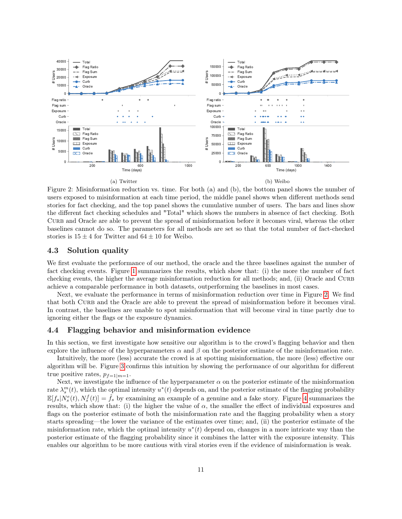<span id="page-10-0"></span>

Figure 2: Misinformation reduction vs. time. For both (a) and (b), the bottom panel shows the number of users exposed to misinformation at each time period, the middle panel shows when different methods send stories for fact checking, and the top panel shows the cumulative number of users. The bars and lines show the different fact checking schedules and "Total" which shows the numbers in absence of fact checking. Both Curb and Oracle are able to prevent the spread of misinformation before it becomes viral, whereas the other baselines cannot do so. The parameters for all methods are set so that the total number of fact-checked stories is  $15 \pm 4$  for Twitter and  $64 \pm 10$  for Weibo.

#### 4.3 Solution quality

We first evaluate the performance of our method, the oracle and the three baselines against the number of fact checking events. Figure [1](#page-9-0) summarizes the results, which show that: (i) the more the number of fact checking events, the higher the average misinformation reduction for all methods; and, (ii) Oracle and Curb achieve a comparable performance in both datasets, outperforming the baselines in most cases.

Next, we evaluate the performance in terms of misinformation reduction over time in Figure [2.](#page-10-0) We find that both CURB and the Oracle are able to prevent the spread of misinformation before it becomes viral. In contrast, the baselines are unable to spot misinformation that will become viral in time partly due to ignoring either the flags or the exposure dynamics.

#### 4.4 Flagging behavior and misinformation evidence

In this section, we first investigate how sensitive our algorithm is to the crowd's flagging behavior and then explore the influence of the hyperparameters  $\alpha$  and  $\beta$  on the posterior estimate of the misinformation rate.

Intuitively, the more (less) accurate the crowd is at spotting misinformation, the more (less) effective our algorithm will be. Figure [3](#page-11-0) confirms this intuition by showing the performance of our algorithm for different true positive rates,  $p_{f=1|m=1}$ .

Next, we investigate the influence of the hyperparameter  $\alpha$  on the posterior estimate of the misinformation rate  $\lambda_s^m(t)$ , which the optimal intensity  $u^*(t)$  depends on, and the posterior estimate of the flagging probability  $\mathbb{E}[f_s|N_s^e(t), N_s^f(t)] = \hat{f}_s$  by examining an example of a genuine and a fake story. Figure [4](#page-11-1) summarizes the results, which show that: (i) the higher the value of  $\alpha$ , the smaller the effect of individual exposures and flags on the posterior estimate of both the misinformation rate and the flagging probability when a story starts spreading—the lower the variance of the estimates over time; and, (ii) the posterior estimate of the misinformation rate, which the optimal intensity  $u^*(t)$  depend on, changes in a more intricate way than the posterior estimate of the flagging probability since it combines the latter with the exposure intensity. This enables our algorithm to be more cautious with viral stories even if the evidence of misinformation is weak.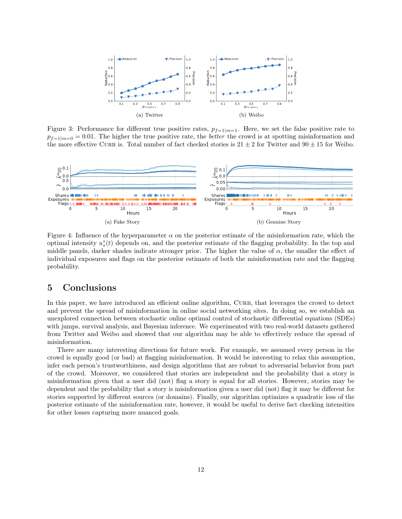<span id="page-11-0"></span>

Figure 3: Performance for different true positive rates,  $p_{f=1|m=1}$ . Here, we set the false positive rate to  $p_{f=1|m=0} = 0.01$ . The higher the true positive rate, the *better* the crowd is at spotting misinformation and the more effective CURB is. Total number of fact checked stories is  $21 \pm 2$  for Twitter and  $90 \pm 15$  for Weibo.

<span id="page-11-1"></span>

Figure 4: Influence of the hyperparameter  $\alpha$  on the posterior estimate of the misinformation rate, which the optimal intensity  $u_s^*(t)$  depends on, and the posterior estimate of the flagging probability. In the top and middle panels, darker shades indicate stronger prior. The higher the value of  $\alpha$ , the smaller the effect of individual exposures and flags on the posterior estimate of both the misinformation rate and the flagging probability.

# 5 Conclusions

In this paper, we have introduced an efficient online algorithm, CURB, that leverages the crowd to detect and prevent the spread of misinformation in online social networking sites. In doing so, we establish an unexplored connection between stochastic online optimal control of stochastic differential equations (SDEs) with jumps, survival analysis, and Bayesian inference. We experimented with two real-world datasets gathered from Twitter and Weibo and showed that our algorithm may be able to effectively reduce the spread of misinformation.

There are many interesting directions for future work. For example, we assumed every person in the crowd is equally good (or bad) at flagging misinformation. It would be interesting to relax this assumption, infer each person's trustworthiness, and design algorithms that are robust to adversarial behavior from part of the crowd. Moreover, we considered that stories are independent and the probability that a story is misinformation given that a user did (not) flag a story is equal for all stories. However, stories may be dependent and the probability that a story is misinformation given a user did (not) flag it may be different for stories supported by different sources (or domains). Finally, our algorithm optimizes a quadratic loss of the posterior estimate of the misinformation rate, however, it would be useful to derive fact checking intensities for other losses capturing more nuanced goals.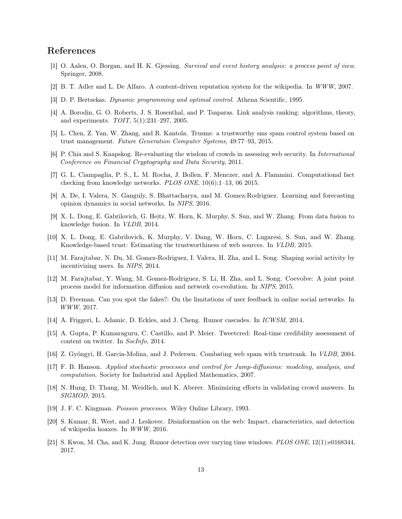# References

- <span id="page-12-0"></span>[1] O. Aalen, O. Borgan, and H. K. Gjessing. Survival and event history analysis: a process point of view. Springer, 2008.
- <span id="page-12-8"></span>[2] B. T. Adler and L. De Alfaro. A content-driven reputation system for the wikipedia. In WWW, 2007.
- <span id="page-12-19"></span>[3] D. P. Bertsekas. Dynamic programming and optimal control. Athena Scientific, 1995.
- <span id="page-12-2"></span>[4] A. Borodin, G. O. Roberts, J. S. Rosenthal, and P. Tsaparas. Link analysis ranking: algorithms, theory, and experiments. TOIT, 5(1):231–297, 2005.
- <span id="page-12-13"></span>[5] L. Chen, Z. Yan, W. Zhang, and R. Kantola. Trusms: a trustworthy sms spam control system based on trust management. Future Generation Computer Systems, 49:77–93, 2015.
- <span id="page-12-12"></span>[6] P. Chia and S. Knapskog. Re-evaluating the wisdom of crowds in assessing web security. In International Conference on Financial Cryptography and Data Security, 2011.
- <span id="page-12-4"></span>[7] G. L. Ciampaglia, P. S., L. M. Rocha, J. Bollen, F. Menczer, and A. Flammini. Computational fact checking from knowledge networks. PLOS ONE, 10(6):1–13, 06 2015.
- <span id="page-12-17"></span>[8] A. De, I. Valera, N. Ganguly, S. Bhattacharya, and M. Gomez-Rodriguez. Learning and forecasting opinion dynamics in social networks. In NIPS, 2016.
- <span id="page-12-5"></span>[9] X. L. Dong, E. Gabrilovich, G. Heitz, W. Horn, K. Murphy, S. Sun, and W. Zhang. From data fusion to knowledge fusion. In VLDB, 2014.
- <span id="page-12-6"></span>[10] X. L. Dong, E. Gabrilovich, K. Murphy, V. Dang, W. Horn, C. Lugaresi, S. Sun, and W. Zhang. Knowledge-based trust: Estimating the trustworthiness of web sources. In VLDB, 2015.
- <span id="page-12-16"></span>[11] M. Farajtabar, N. Du, M. Gomez-Rodriguez, I. Valera, H. Zha, and L. Song. Shaping social activity by incentivizing users. In NIPS, 2014.
- <span id="page-12-18"></span>[12] M. Farajtabar, Y. Wang, M. Gomez-Rodriguez, S. Li, H. Zha, and L. Song. Coevolve: A joint point process model for information diffusion and network co-evolution. In NIPS, 2015.
- <span id="page-12-14"></span>[13] D. Freeman. Can you spot the fakes?: On the limitations of user feedback in online social networks. In WWW, 2017.
- <span id="page-12-10"></span>[14] A. Friggeri, L. Adamic, D. Eckles, and J. Cheng. Rumor cascades. In ICWSM, 2014.
- <span id="page-12-9"></span>[15] A. Gupta, P. Kumaraguru, C. Castillo, and P. Meier. Tweetcred: Real-time credibility assessment of content on twitter. In SocInfo, 2014.
- <span id="page-12-3"></span>[16] Z. Gyöngyi, H. Garcia-Molina, and J. Pedersen. Combating web spam with trustrank. In VLDB, 2004.
- <span id="page-12-1"></span>[17] F. B. Hanson. Applied stochastic processes and control for Jump-diffusions: modeling, analysis, and computation. Society for Industrial and Applied Mathematics, 2007.
- <span id="page-12-15"></span>[18] N. Hung, D. Thang, M. Weidlich, and K. Aberer. Minimizing efforts in validating crowd answers. In SIGMOD, 2015.
- <span id="page-12-20"></span>[19] J. F. C. Kingman. Poisson processes. Wiley Online Library, 1993.
- <span id="page-12-7"></span>[20] S. Kumar, R. West, and J. Leskovec. Disinformation on the web: Impact, characteristics, and detection of wikipedia hoaxes. In WWW, 2016.
- <span id="page-12-11"></span>[21] S. Kwon, M. Cha, and K. Jung. Rumor detection over varying time windows. PLOS ONE, 12(1):e0168344, 2017.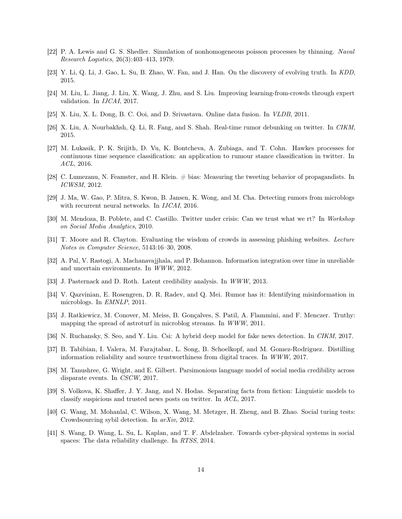- <span id="page-13-19"></span>[22] P. A. Lewis and G. S. Shedler. Simulation of nonhomogeneous poisson processes by thinning. Naval Research Logistics, 26(3):403–413, 1979.
- <span id="page-13-7"></span>[23] Y. Li, Q. Li, J. Gao, L. Su, B. Zhao, W. Fan, and J. Han. On the discovery of evolving truth. In KDD, 2015.
- <span id="page-13-18"></span>[24] M. Liu, L. Jiang, J. Liu, X. Wang, J. Zhu, and S. Liu. Improving learning-from-crowds through expert validation. In IJCAI, 2017.
- <span id="page-13-8"></span>[25] X. Liu, X. L. Dong, B. C. Ooi, and D. Srivastava. Online data fusion. In VLDB, 2011.
- <span id="page-13-12"></span>[26] X. Liu, A. Nourbakhsh, Q. Li, R. Fang, and S. Shah. Real-time rumor debunking on twitter. In CIKM, 2015.
- <span id="page-13-6"></span>[27] M. Lukasik, P. K. Srijith, D. Vu, K. Bontcheva, A. Zubiaga, and T. Cohn. Hawkes processes for continuous time sequence classification: an application to rumour stance classification in twitter. In ACL, 2016.
- <span id="page-13-0"></span>[28] C. Lumezanu, N. Feamster, and H. Klein. # bias: Measuring the tweeting behavior of propagandists. In ICWSM, 2012.
- <span id="page-13-13"></span>[29] J. Ma, W. Gao, P. Mitra, S. Kwon, B. Jansen, K. Wong, and M. Cha. Detecting rumors from microblogs with recurrent neural networks. In IJCAI, 2016.
- <span id="page-13-14"></span>[30] M. Mendoza, B. Poblete, and C. Castillo. Twitter under crisis: Can we trust what we rt? In Workshop on Social Media Analytics, 2010.
- <span id="page-13-17"></span>[31] T. Moore and R. Clayton. Evaluating the wisdom of crowds in assessing phishing websites. Lecture Notes in Computer Science, 5143:16–30, 2008.
- <span id="page-13-9"></span>[32] A. Pal, V. Rastogi, A. Machanavajjhala, and P. Bohannon. Information integration over time in unreliable and uncertain environments. In WWW, 2012.
- <span id="page-13-4"></span>[33] J. Pasternack and D. Roth. Latent credibility analysis. In WWW, 2013.
- <span id="page-13-11"></span>[34] V. Qazvinian, E. Rosengren, D. R. Radev, and Q. Mei. Rumor has it: Identifying misinformation in microblogs. In EMNLP, 2011.
- <span id="page-13-15"></span>[35] J. Ratkiewicz, M. Conover, M. Meiss, B. Gonçalves, S. Patil, A. Flammini, and F. Menczer. Truthy: mapping the spread of astroturf in microblog streams. In WWW, 2011.
- <span id="page-13-3"></span>[36] N. Ruchansky, S. Seo, and Y. Liu. Csi: A hybrid deep model for fake news detection. In CIKM, 2017.
- <span id="page-13-5"></span>[37] B. Tabibian, I. Valera, M. Farajtabar, L. Song, B. Schoelkopf, and M. Gomez-Rodriguez. Distilling information reliability and source trustworthiness from digital traces. In WWW, 2017.
- <span id="page-13-1"></span>[38] M. Tanushree, G. Wright, and E. Gilbert. Parsimonious language model of social media credibility across disparate events. In CSCW, 2017.
- <span id="page-13-2"></span>[39] S. Volkova, K. Shaffer, J. Y. Jang, and N. Hodas. Separating facts from fiction: Linguistic models to classify suspicious and trusted news posts on twitter. In ACL, 2017.
- <span id="page-13-16"></span>[40] G. Wang, M. Mohanlal, C. Wilson, X. Wang, M. Metzger, H. Zheng, and B. Zhao. Social turing tests: Crowdsourcing sybil detection. In arXiv, 2012.
- <span id="page-13-10"></span>[41] S. Wang, D. Wang, L. Su, L. Kaplan, and T. F. Abdelzaher. Towards cyber-physical systems in social spaces: The data reliability challenge. In RTSS, 2014.